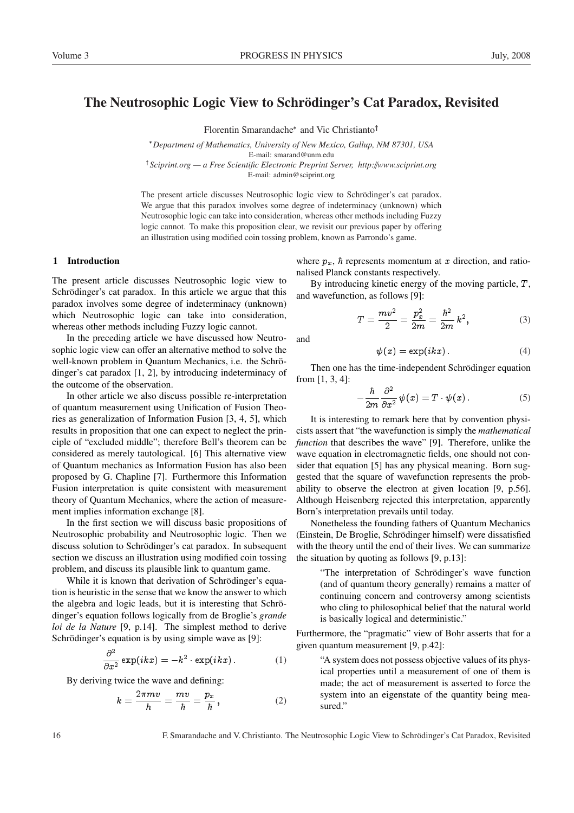# The Neutrosophic Logic View to Schrödinger's Cat Paradox, Revisited

Florentin Smarandache<sup>\*</sup> and Vic Christianto<sup>†</sup>

*Department of Mathematics, University of New Mexico, Gallup, NM 87301, USA* E-mail: smarand@unm.edu <sup>†</sup> Sciprint.org — a Free Scientific Electronic Preprint Server, http://www.sciprint.org

E-mail: admin@sciprint.org

The present article discusses Neutrosophic logic view to Schrödinger's cat paradox. We argue that this paradox involves some degree of indeterminacy (unknown) which Neutrosophic logic can take into consideration, whereas other methods including Fuzzy logic cannot. To make this proposition clear, we revisit our previous paper by offering an illustration using modified coin tossing problem, known as Parrondo's game.

and

## 1 Introduction

The present article discusses Neutrosophic logic view to Schrödinger's cat paradox. In this article we argue that this paradox involves some degree of indeterminacy (unknown) which Neutrosophic logic can take into consideration, whereas other methods including Fuzzy logic cannot.

In the preceding article we have discussed how Neutrosophic logic view can offer an alternative method to solve the well-known problem in Quantum Mechanics, i.e. the Schrödinger's cat paradox [1, 2], by introducing indeterminacy of the outcome of the observation.

In other article we also discuss possible re-interpretation of quantum measurement using Unification of Fusion Theories as generalization of Information Fusion [3, 4, 5], which results in proposition that one can expect to neglect the principle of "excluded middle"; therefore Bell's theorem can be considered as merely tautological. [6] This alternative view of Quantum mechanics as Information Fusion has also been proposed by G. Chapline [7]. Furthermore this Information Fusion interpretation is quite consistent with measurement theory of Quantum Mechanics, where the action of measurement implies information exchange [8].

In the first section we will discuss basic propositions of Neutrosophic probability and Neutrosophic logic. Then we discuss solution to Schrödinger's cat paradox. In subsequent section we discuss an illustration using modified coin tossing problem, and discuss its plausible link to quantum game.

While it is known that derivation of Schrödinger's equation is heuristic in the sense that we know the answer to which the algebra and logic leads, but it is interesting that Schrödinger's equation follows logically from de Broglie's *grande loi de la Nature* [9, p.14]. The simplest method to derive Schrödinger's equation is by using simple wave as [9]:

$$
\frac{\partial^2}{\partial x^2} \exp(ikx) = -k^2 \cdot \exp(ikx) \,. \tag{1}
$$

By deriving twice the wave and defining:

$$
k = \frac{2\pi mv}{h} = \frac{mv}{\hbar} = \frac{p_x}{\hbar} \,,\tag{2}
$$

where  $p_x$ ,  $\hbar$  represents momentum at x direction, and rationalised Planck constants respectively.

By introducing kinetic energy of the moving particle, T, and wavefunction, as follows [9]:

$$
T = \frac{mv^2}{2} = \frac{p_x^2}{2m} = \frac{\hbar^2}{2m} k^2,
$$
 (3)

$$
\psi(x) = \exp(ikx). \tag{4}
$$

Then one has the time-independent Schrödinger equation from [1, 3, 4]:

$$
-\frac{\hbar}{2m}\frac{\partial^2}{\partial x^2}\,\psi(x)=T\cdot\psi(x)\,.
$$
 (5)

It is interesting to remark here that by convention physicists assert that "the wavefunction is simply the *mathematical function* that describes the wave" [9]. Therefore, unlike the wave equation in electromagnetic fields, one should not consider that equation [5] has any physical meaning. Born suggested that the square of wavefunction represents the probability to observe the electron at given location [9, p.56]. Although Heisenberg rejected this interpretation, apparently Born's interpretation prevails until today.

Nonetheless the founding fathers of Quantum Mechanics (Einstein, De Broglie, Schrodinger himself) were dissatisfied ¨ with the theory until the end of their lives. We can summarize the situation by quoting as follows [9, p.13]:

> "The interpretation of Schrödinger's wave function (and of quantum theory generally) remains a matter of continuing concern and controversy among scientists who cling to philosophical belief that the natural world is basically logical and deterministic."

Furthermore, the "pragmatic" view of Bohr asserts that for a given quantum measurement [9, p.42]:

> "A system does not possess objective values of its physical properties until a measurement of one of them is made; the act of measurement is asserted to force the system into an eigenstate of the quantity being measured."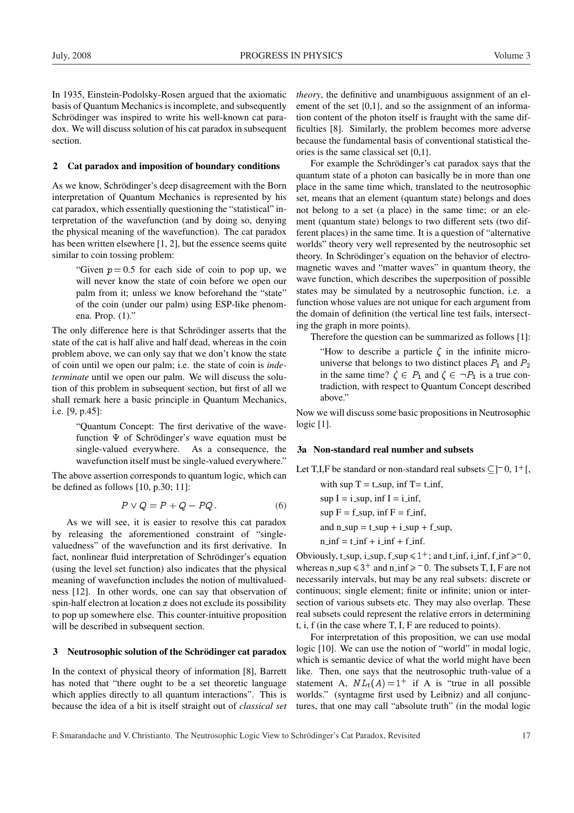In 1935, Einstein-Podolsky-Rosen argued that the axiomatic basis of Quantum Mechanics is incomplete, and subsequently Schrödinger was inspired to write his well-known cat paradox. We will discuss solution of his cat paradox in subsequent section.

#### 2 Cat paradox and imposition of boundary conditions

As we know, Schrödinger's deep disagreement with the Born interpretation of Quantum Mechanics is represented by his cat paradox, which essentially questioning the "statistical" interpretation of the wavefunction (and by doing so, denying the physical meaning of the wavefunction). The cat paradox has been written elsewhere [1, 2], but the essence seems quite similar to coin tossing problem:

> "Given  $p = 0.5$  for each side of coin to pop up, we will never know the state of coin before we open our palm from it; unless we know beforehand the "state" of the coin (under our palm) using ESP-like phenomena. Prop. (1)."

The only difference here is that Schrödinger asserts that the state of the cat is half alive and half dead, whereas in the coin problem above, we can only say that we don't know the state of coin until we open our palm; i.e. the state of coin is *indeterminate* until we open our palm. We will discuss the solution of this problem in subsequent section, but first of all we shall remark here a basic principle in Quantum Mechanics, i.e. [9, p.45]:

> "Quantum Concept: The first derivative of the wavefunction  $\Psi$  of Schrödinger's wave equation must be single-valued everywhere. As a consequence, the wavefunction itself must be single-valued everywhere."

The above assertion corresponds to quantum logic, which can be defined as follows [10, p.30; 11]:

$$
P \vee Q = P + Q - PQ. \tag{6}
$$

As we will see, it is easier to resolve this cat paradox by releasing the aforementioned constraint of "singlevaluedness" of the wavefunction and its first derivative. In fact, nonlinear fluid interpretation of Schrödinger's equation (using the level set function) also indicates that the physical meaning of wavefunction includes the notion of multivaluedness [12]. In other words, one can say that observation of spin-half electron at location  $x$  does not exclude its possibility to pop up somewhere else. This counter-intuitive proposition will be described in subsequent section.

#### 3 Neutrosophic solution of the Schrödinger cat paradox

In the context of physical theory of information [8], Barrett has noted that "there ought to be a set theoretic language which applies directly to all quantum interactions". This is because the idea of a bit is itself straight out of *classical set* *theory*, the definitive and unambiguous assignment of an element of the set {0,1}, and so the assignment of an information content of the photon itself is fraught with the same difficulties [8]. Similarly, the problem becomes more adverse because the fundamental basis of conventional statistical theories is the same classical set {0,1}.

For example the Schrödinger's cat paradox says that the quantum state of a photon can basically be in more than one place in the same time which, translated to the neutrosophic set, means that an element (quantum state) belongs and does not belong to a set (a place) in the same time; or an element (quantum state) belongs to two different sets (two different places) in the same time. It is a question of "alternative worlds" theory very well represented by the neutrosophic set theory. In Schrödinger's equation on the behavior of electromagnetic waves and "matter waves" in quantum theory, the wave function, which describes the superposition of possible states may be simulated by a neutrosophic function, i.e. a function whose values are not unique for each argument from the domain of definition (the vertical line test fails, intersecting the graph in more points).

Therefore the question can be summarized as follows [1]:

"How to describe a particle  $\zeta$  in the infinite microuniverse that belongs to two distinct places  $P_1$  and  $P_2$ in the same time?  $\zeta \in P_1$  and  $\zeta \in \neg P_1$  is a true contradiction, with respect to Quantum Concept described above."

Now we will discuss some basic propositions in Neutrosophic logic [1].

#### 3a Non-standard real number and subsets

Let T,I,F be standard or non-standard real subsets  $\subseteq$ ]<sup>-</sup>0, 1<sup>+</sup>[,

with sup  $T = t$  sup, inf  $T = t$  inf,  $\sup I = i$  sup,  $\inf I = i$  inf,

 $\sup F = f$ \_sup,  $\inf F = f$ \_inf,

and  $n$ -sup = t-sup + i-sup + f-sup,

 $n_{\text{inf}} = t_{\text{inf}} + i_{\text{inf}} + f_{\text{inf}}.$ 

Obviously, t\_sup, i\_sup, f\_sup  $\leq 1^+$ ; and t\_inf, i\_inf, f\_inf $\geq 0$ , whereas  $n$ \_sup  $\le 3^+$  and  $n$ \_inf  $\ge -0$ . The subsets T, I, F are not necessarily intervals, but may be any real subsets: discrete or continuous; single element; finite or infinite; union or intersection of various subsets etc. They may also overlap. These real subsets could represent the relative errors in determining t, i, f (in the case where T, I, F are reduced to points).

For interpretation of this proposition, we can use modal logic [10]. We can use the notion of "world" in modal logic, which is semantic device of what the world might have been like. Then, one says that the neutrosophic truth-value of a statement A,  $NL_t(A) = 1^+$  if A is "true in all possible worlds." (syntagme first used by Leibniz) and all conjunctures, that one may call "absolute truth" (in the modal logic

F. Smarandache and V. Christianto. The Neutrosophic Logic View to Schrödinger's Cat Paradox, Revisited 17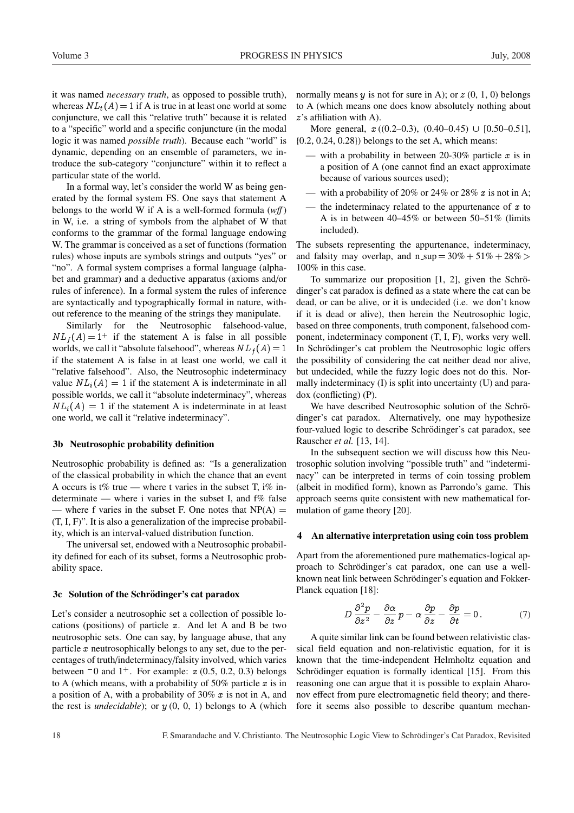it was named *necessary truth*, as opposed to possible truth), whereas  $NL_t(A) = 1$  if A is true in at least one world at some conjuncture, we call this "relative truth" because it is related to a "specific" world and a specific conjuncture (in the modal logic it was named *possible truth*). Because each "world" is dynamic, depending on an ensemble of parameters, we introduce the sub-category "conjuncture" within it to reflect a particular state of the world.

In a formal way, let's consider the world W as being generated by the formal system FS. One says that statement A belongs to the world W if A is a well-formed formula (*w*ff ) in W, i.e. a string of symbols from the alphabet of W that conforms to the grammar of the formal language endowing W. The grammar is conceived as a set of functions (formation rules) whose inputs are symbols strings and outputs "yes" or "no". A formal system comprises a formal language (alphabet and grammar) and a deductive apparatus (axioms and/or rules of inference). In a formal system the rules of inference are syntactically and typographically formal in nature, without reference to the meaning of the strings they manipulate.

Similarly for the Neutrosophic falsehood-value,  $NL_f(A) = 1^+$  if the statement A is false in all possible worlds, we call it "absolute falsehood", whereas  $NL_f(A) = 1$ if the statement A is false in at least one world, we call it "relative falsehood". Also, the Neutrosophic indeterminacy value  $NL<sub>i</sub>(A) = 1$  if the statement A is indeterminate in all possible worlds, we call it "absolute indeterminacy", whereas  $NL_i(A) = 1$  if the statement A is indeterminate in at least one world, we call it "relative indeterminacy".

### 3b Neutrosophic probability definition

Neutrosophic probability is defined as: "Is a generalization of the classical probability in which the chance that an event A occurs is t% true — where t varies in the subset T,  $i\%$  indeterminate — where i varies in the subset I, and f% false — where f varies in the subset F. One notes that  $NP(A)$  = (T, I, F)". It is also a generalization of the imprecise probability, which is an interval-valued distribution function.

The universal set, endowed with a Neutrosophic probability defined for each of its subset, forms a Neutrosophic probability space.

#### 3c Solution of the Schrödinger's cat paradox

Let's consider a neutrosophic set a collection of possible locations (positions) of particle  $x$ . And let A and B be two neutrosophic sets. One can say, by language abuse, that any particle  $x$  neutrosophically belongs to any set, due to the percentages of truth/indeterminacy/falsity involved, which varies between  $-0$  and  $1^+$ . For example:  $x(0.5, 0.2, 0.3)$  belongs to A (which means, with a probability of 50% particle  $x$  is in a position of A, with a probability of 30%  $x$  is not in A, and the rest is *undecidable*); or  $y(0, 0, 1)$  belongs to A (which normally means  $y$  is not for sure in A); or  $z$  (0, 1, 0) belongs to A (which means one does know absolutely nothing about z's affiliation with A).

More general,  $x ((0.2-0.3), (0.40-0.45) \cup [0.50-0.51],$ {0.2, 0.24, 0.28}) belongs to the set A, which means:

- with a probability in between 20-30% particle  $x$  is in a position of A (one cannot find an exact approximate because of various sources used);
- with a probability of 20% or 24% or 28%  $x$  is not in A;
- the indeterminacy related to the appurtenance of  $x$  to A is in between 40–45% or between 50–51% (limits included).

The subsets representing the appurtenance, indeterminacy, and falsity may overlap, and  $n$ -sup  $= 30\% + 51\% + 28\%$ 100% in this case.

To summarize our proposition  $[1, 2]$ , given the Schrödinger's cat paradox is defined as a state where the cat can be dead, or can be alive, or it is undecided (i.e. we don't know if it is dead or alive), then herein the Neutrosophic logic, based on three components, truth component, falsehood component, indeterminacy component (T, I, F), works very well. In Schrödinger's cat problem the Neutrosophic logic offers the possibility of considering the cat neither dead nor alive, but undecided, while the fuzzy logic does not do this. Normally indeterminacy (I) is split into uncertainty (U) and paradox (conflicting) (P).

We have described Neutrosophic solution of the Schrödinger's cat paradox. Alternatively, one may hypothesize four-valued logic to describe Schrödinger's cat paradox, see Rauscher *et al.* [13, 14].

In the subsequent section we will discuss how this Neutrosophic solution involving "possible truth" and "indeterminacy" can be interpreted in terms of coin tossing problem (albeit in modified form), known as Parrondo's game. This approach seems quite consistent with new mathematical formulation of game theory [20].

#### 4 An alternative interpretation using coin toss problem

Apart from the aforementioned pure mathematics-logical approach to Schrödinger's cat paradox, one can use a wellknown neat link between Schrödinger's equation and Fokker-Planck equation [18]:

$$
D\frac{\partial^2 p}{\partial z^2} - \frac{\partial \alpha}{\partial z} p - \alpha \frac{\partial p}{\partial z} - \frac{\partial p}{\partial t} = 0.
$$
 (7)

A quite similar link can be found between relativistic classical field equation and non-relativistic equation, for it is known that the time-independent Helmholtz equation and Schrödinger equation is formally identical [15]. From this reasoning one can argue that it is possible to explain Aharonov effect from pure electromagnetic field theory; and therefore it seems also possible to describe quantum mechan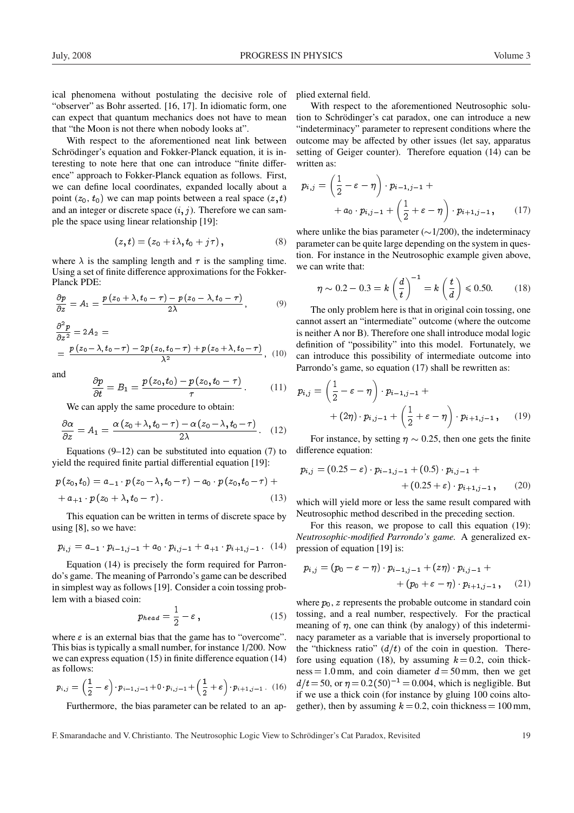ical phenomena without postulating the decisive role of "observer" as Bohr asserted. [16, 17]. In idiomatic form, one can expect that quantum mechanics does not have to mean that "the Moon is not there when nobody looks at".

With respect to the aforementioned neat link between Schrödinger's equation and Fokker-Planck equation, it is interesting to note here that one can introduce "finite difference" approach to Fokker-Planck equation as follows. First, we can define local coordinates, expanded locally about a point  $(z_0, t_0)$  we can map points between a real space  $(z, t)$ and an integer or discrete space  $(i, j)$ . Therefore we can sample the space using linear relationship [19]:

$$
(z,t)=(z_0+i\lambda,t_0+j\tau)\,,\qquad \qquad (8)
$$

where  $\lambda$  is the sampling length and  $\tau$  is the sampling time. Using a set of finite difference approximations for the Fokker-Planck PDE:

$$
\frac{\partial p}{\partial z} = A_1 = \frac{p(z_0 + \lambda, t_0 - \tau) - p(z_0 - \lambda, t_0 - \tau)}{2\lambda}, \tag{9}
$$

$$
\frac{\partial^2 p}{\partial z^2} = 2A_2 =
$$
  
=  $\frac{p(z_0 - \lambda, t_0 - \tau) - 2p(z_0, t_0 - \tau) + p(z_0 + \lambda, t_0 - \tau)}{\lambda^2}$ , (10)

and 
$$
\frac{\partial p}{\partial t} = B_1 = \frac{p(z_0, t_0) - p(z_0, t_0 - \tau)}{\tau}.
$$
 (11)

We can apply the same procedure to obtain:

$$
\frac{\partial \alpha}{\partial z} = A_1 = \frac{\alpha (z_0 + \lambda, t_0 - \tau) - \alpha (z_0 - \lambda, t_0 - \tau)}{2\lambda}.
$$
 (12)

Equations  $(9-12)$  can be substituted into equation  $(7)$  to yield the required finite partial differential equation [19]:

$$
p(z_0, t_0) = a_{-1} \cdot p(z_0 - \lambda, t_0 - \tau) - a_0 \cdot p(z_0, t_0 - \tau) + a_{+1} \cdot p(z_0 + \lambda, t_0 - \tau).
$$
\n(13)

This equation can be written in terms of discrete space by using [8], so we have:

$$
p_{i,j} = a_{-1} \cdot p_{i-1,j-1} + a_0 \cdot p_{i,j-1} + a_{+1} \cdot p_{i+1,j-1} \tag{14}
$$

Equation (14) is precisely the form required for Parrondo's game. The meaning of Parrondo's game can be described in simplest way as follows [19]. Consider a coin tossing problem with a biased coin:

$$
p_{head} = \frac{1}{2} - \varepsilon, \qquad (15)
$$

where  $\varepsilon$  is an external bias that the game has to "overcome". This bias is typically a small number, for instance 1/200. Now we can express equation (15) in finite difference equation (14) as follows:

$$
p_{i,j} = \left(\frac{1}{2} - \varepsilon\right) \cdot p_{i-1,j-1} + 0 \cdot p_{i,j-1} + \left(\frac{1}{2} + \varepsilon\right) \cdot p_{i+1,j-1} \quad (16)
$$

Furthermore, the bias parameter can be related to an ap-

plied external field.

With respect to the aforementioned Neutrosophic solution to Schrödinger's cat paradox, one can introduce a new "indeterminacy" parameter to represent conditions where the outcome may be affected by other issues (let say, apparatus setting of Geiger counter). Therefore equation (14) can be written as:

$$
p_{i,j} = \left(\frac{1}{2} - \varepsilon - \eta\right) \cdot p_{i-1,j-1} + \n+ a_0 \cdot p_{i,j-1} + \left(\frac{1}{2} + \varepsilon - \eta\right) \cdot p_{i+1,j-1}, \n\tag{17}
$$

where unlike the bias parameter ( $\sim$ 1/200), the indeterminacy parameter can be quite large depending on the system in question. For instance in the Neutrosophic example given above, we can write that:

$$
\eta \sim 0.2 - 0.3 = k \left(\frac{d}{t}\right)^{-1} = k \left(\frac{t}{d}\right) \le 0.50. \quad (18)
$$

The only problem here is that in original coin tossing, one cannot assert an "intermediate" outcome (where the outcome is neither A nor B). Therefore one shall introduce modal logic definition of "possibility" into this model. Fortunately, we can introduce this possibility of intermediate outcome into Parrondo's game, so equation (17) shall be rewritten as:

$$
p_{i,j} = \left(\frac{1}{2} - \varepsilon - \eta\right) \cdot p_{i-1,j-1} + + (2\eta) \cdot p_{i,j-1} + \left(\frac{1}{2} + \varepsilon - \eta\right) \cdot p_{i+1,j-1}, \qquad (19)
$$

For instance, by setting  $\eta \sim 0.25$ , then one gets the finite difference equation:

$$
p_{i,j} = (0.25 - \varepsilon) \cdot p_{i-1,j-1} + (0.5) \cdot p_{i,j-1} + (0.25 + \varepsilon) \cdot p_{i+1,j-1},
$$
 (20)

which will yield more or less the same result compared with Neutrosophic method described in the preceding section.

For this reason, we propose to call this equation (19): *Neutrosophic-modified Parrondo's game.* A generalized expression of equation [19] is:

$$
p_{i,j} = (p_0 - \varepsilon - \eta) \cdot p_{i-1,j-1} + (z\eta) \cdot p_{i,j-1} + + (p_0 + \varepsilon - \eta) \cdot p_{i+1,j-1}, \quad (21)
$$

where  $p_0$ , z represents the probable outcome in standard coin tossing, and a real number, respectively. For the practical meaning of  $\eta$ , one can think (by analogy) of this indeterminacy parameter as a variable that is inversely proportional to the "thickness ratio"  $(d/t)$  of the coin in question. Therefore using equation (18), by assuming  $k = 0.2$ , coin thickness = 1.0 mm, and coin diameter  $d = 50$  mm, then we get  $d/t = 50$ , or  $\eta = 0.2(50)^{-1} = 0.004$ , which is negligible. But if we use a thick coin (for instance by gluing 100 coins altogether), then by assuming  $k = 0.2$ , coin thickness = 100 mm,

F. Smarandache and V. Christianto. The Neutrosophic Logic View to Schrödinger's Cat Paradox, Revisited 19 ° 19